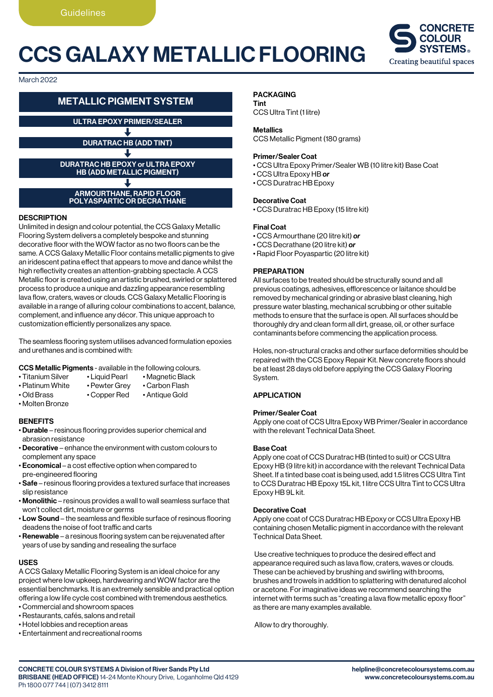## CCS GALAXY METALLIC FLOORING



March 2022

### METALLIC PIGMENT SYSTEM

ULTRA EPOXY PRIMER/SEALER

DURATRAC HB (ADD TINT)

DURATRAC HB EPOXY or ULTRA EPOXY HB (ADD METALLIC PIGMENT)

ARMOURTHANE, RAPID FLOOR POLYASPARTIC OR DECRATHANE

#### **DESCRIPTION**

Unlimited in design and colour potential, the CCS Galaxy Metallic Flooring System delivers a completely bespoke and stunning decorative floor with the WOW factor as no two floors can be the same. A CCS Galaxy Metallic Floor contains metallic pigments to give an iridescent patina effect that appears to move and dance whilst the high reflectivity creates an attention-grabbing spectacle. A CCS Metallic floor is created using an artistic brushed, swirled or splattered process to produce a unique and dazzling appearance resembling lava flow, craters, waves or clouds. CCS Galaxy Metallic Flooring is available in a range of alluring colour combinations to accent, balance, complement, and influence any décor. This unique approach to customization efficiently personalizes any space.

The seamless flooring system utilises advanced formulation epoxies and urethanes and is combined with:

### **CCS Metallic Pigments** - available in the following colours.<br>
• Titanium Silver • Liquid Pearl • Magnetic Black

- 
- Magnetic Black<br>• Carbon Flash
- Platinum White Pewter Grey
- Old Brass Copper Red Antique Gold
- Molten Bronze
- 

#### **BENEFITS**

- Durable resinous flooring provides superior chemical and abrasion resistance
- Decorative enhance the environment with custom colours to complement any space
- Economical a cost effective option when compared to pre-engineered flooring
- Safe resinous flooring provides a textured surface that increases slip resistance
- Monolithic resinous provides a wall to wall seamless surface that won't collect dirt, moisture or germs
- Low Sound the seamless and flexible surface of resinous flooring deadens the noise of foot traffic and carts
- Renewable a resinous flooring system can be rejuvenated after years of use by sanding and resealing the surface

#### USES

A CCS Galaxy Metallic Flooring System is an ideal choice for any project where low upkeep, hardwearing and WOW factor are the essential benchmarks. It is an extremely sensible and practical option offering a low life cycle cost combined with tremendous aesthetics.

- Commercial and showroom spaces
- Restaurants, cafés, salons and retail
- Hotel lobbies and reception areas
- Entertainment and recreational rooms

#### PACKAGING

Tint CCS Ultra Tint (1 litre)

#### **Metallics**

CCS Metallic Pigment (180 grams)

#### Primer/Sealer Coat

- CCS Ultra Epoxy Primer/Sealer WB (10 litre kit) Base Coat
- CCS Ultra Epoxy HB *or*
- CCS Duratrac HB Epoxy

#### Decorative Coat

• CCS Duratrac HB Epoxy (15 litre kit)

#### Final Coat

- CCS Armourthane (20 litre kit) *or*
- CCS Decrathane (20 litre kit) *or*
- Rapid Floor Poyaspartic (20 litre kit)

#### PREPARATION

All surfaces to be treated should be structurally sound and all previous coatings, adhesives, efflorescence or laitance should be removed by mechanical grinding or abrasive blast cleaning, high pressure water blasting, mechanical scrubbing or other suitable methods to ensure that the surface is open. All surfaces should be thoroughly dry and clean form all dirt, grease, oil, or other surface contaminants before commencing the application process.

Holes, non-structural cracks and other surface deformities should be repaired with the CCS Epoxy Repair Kit. New concrete floors should be at least 28 days old before applying the CCS Galaxy Flooring System.

#### APPLICATION

#### Primer/Sealer Coat

Apply one coat of CCS Ultra Epoxy WB Primer/Sealer in accordance with the relevant Technical Data Sheet.

#### Base Coat

Apply one coat of CCS Duratrac HB (tinted to suit) or CCS Ultra Epoxy HB (9 litre kit) in accordance with the relevant Technical Data Sheet. If a tinted base coat is being used, add 1.5 litres CCS Ultra Tint to CCS Duratrac HB Epoxy 15L kit, 1 litre CCS Ultra Tint to CCS Ultra Epoxy HB 9L kit.

#### Decorative Coat

Apply one coat of CCS Duratrac HB Epoxy or CCS Ultra Epoxy HB containing chosen Metallic pigment in accordance with the relevant Technical Data Sheet.

Use creative techniques to produce the desired effect and appearance required such as lava flow, craters, waves or clouds. These can be achieved by brushing and swirling with brooms, brushes and trowels in addition to splattering with denatured alcohol or acetone. For imaginative ideas we recommend searching the internet with terms such as "creating a lava flow metallic epoxy floor" as there are many examples available.

Allow to dry thoroughly.